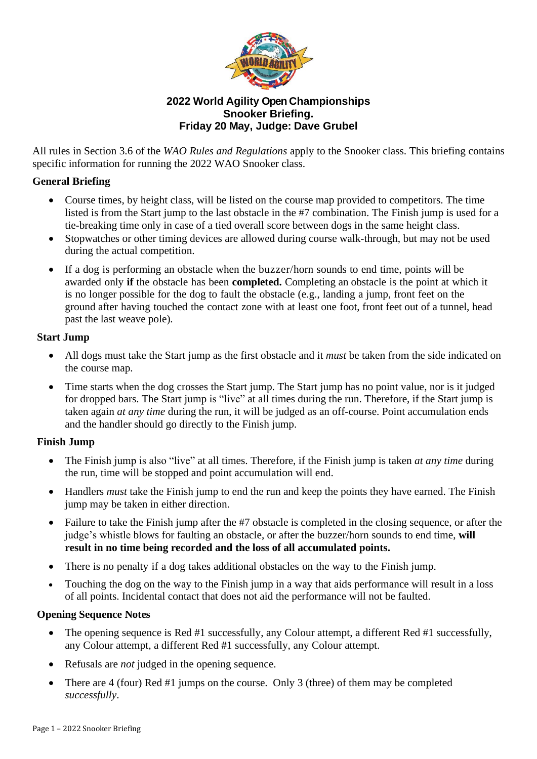

# **2022 World Agility Open Championships Snooker Briefing. Friday 20 May, Judge: Dave Grubel**

All rules in Section 3.6 of the *WAO Rules and Regulations* apply to the Snooker class. This briefing contains specific information for running the 2022 WAO Snooker class.

### **General Briefing**

- Course times, by height class, will be listed on the course map provided to competitors. The time listed is from the Start jump to the last obstacle in the #7 combination. The Finish jump is used for a tie-breaking time only in case of a tied overall score between dogs in the same height class.
- Stopwatches or other timing devices are allowed during course walk-through, but may not be used during the actual competition.
- If a dog is performing an obstacle when the buzzer/horn sounds to end time, points will be awarded only **if** the obstacle has been **completed.** Completing an obstacle is the point at which it is no longer possible for the dog to fault the obstacle (e.g., landing a jump, front feet on the ground after having touched the contact zone with at least one foot, front feet out of a tunnel, head past the last weave pole).

## **Start Jump**

- All dogs must take the Start jump as the first obstacle and it *must* be taken from the side indicated on the course map.
- Time starts when the dog crosses the Start jump. The Start jump has no point value, nor is it judged for dropped bars. The Start jump is "live" at all times during the run. Therefore, if the Start jump is taken again *at any time* during the run, it will be judged as an off-course. Point accumulation ends and the handler should go directly to the Finish jump.

#### **Finish Jump**

- The Finish jump is also "live" at all times. Therefore, if the Finish jump is taken *at any time* during the run, time will be stopped and point accumulation will end.
- Handlers *must* take the Finish jump to end the run and keep the points they have earned. The Finish jump may be taken in either direction.
- Failure to take the Finish jump after the #7 obstacle is completed in the closing sequence, or after the judge's whistle blows for faulting an obstacle, or after the buzzer/horn sounds to end time, **will result in no time being recorded and the loss of all accumulated points.**
- There is no penalty if a dog takes additional obstacles on the way to the Finish jump.
- Touching the dog on the way to the Finish jump in a way that aids performance will result in a loss of all points. Incidental contact that does not aid the performance will not be faulted.

#### **Opening Sequence Notes**

- The opening sequence is Red #1 successfully, any Colour attempt, a different Red #1 successfully, any Colour attempt, a different Red #1 successfully, any Colour attempt.
- Refusals are *not* judged in the opening sequence.
- There are 4 (four) Red #1 jumps on the course. Only 3 (three) of them may be completed *successfully*.